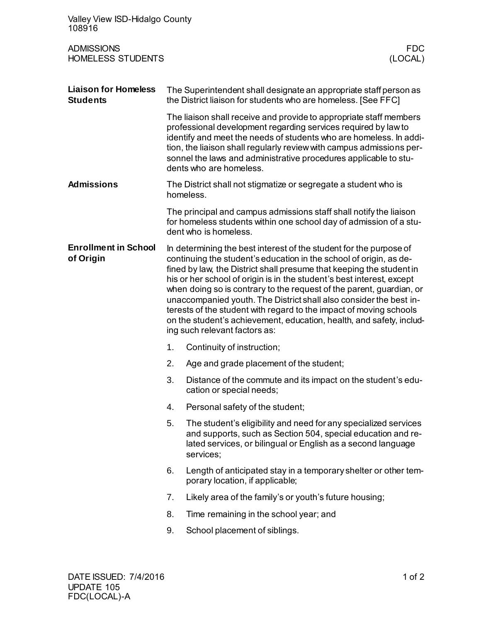| Valley View ISD-Hidalgo County<br>108916                 |                                                                              |                                                                                                                                                                                                                                                                                                                                                                                                                                                                                                                                                                                                                        |  |
|----------------------------------------------------------|------------------------------------------------------------------------------|------------------------------------------------------------------------------------------------------------------------------------------------------------------------------------------------------------------------------------------------------------------------------------------------------------------------------------------------------------------------------------------------------------------------------------------------------------------------------------------------------------------------------------------------------------------------------------------------------------------------|--|
| <b>ADMISSIONS</b><br><b>HOMELESS STUDENTS</b><br>(LOCAL) |                                                                              |                                                                                                                                                                                                                                                                                                                                                                                                                                                                                                                                                                                                                        |  |
| <b>Liaison for Homeless</b><br><b>Students</b>           |                                                                              | The Superintendent shall designate an appropriate staff person as<br>the District liaison for students who are homeless. [See FFC]                                                                                                                                                                                                                                                                                                                                                                                                                                                                                     |  |
|                                                          |                                                                              | The liaison shall receive and provide to appropriate staff members<br>professional development regarding services required by law to<br>identify and meet the needs of students who are homeless. In addi-<br>tion, the liaison shall regularly review with campus admissions per-<br>sonnel the laws and administrative procedures applicable to stu-<br>dents who are homeless.                                                                                                                                                                                                                                      |  |
| <b>Admissions</b>                                        | The District shall not stigmatize or segregate a student who is<br>homeless. |                                                                                                                                                                                                                                                                                                                                                                                                                                                                                                                                                                                                                        |  |
|                                                          |                                                                              | The principal and campus admissions staff shall notify the liaison<br>for homeless students within one school day of admission of a stu-<br>dent who is homeless.                                                                                                                                                                                                                                                                                                                                                                                                                                                      |  |
| <b>Enrollment in School</b><br>of Origin                 |                                                                              | In determining the best interest of the student for the purpose of<br>continuing the student's education in the school of origin, as de-<br>fined by law, the District shall presume that keeping the student in<br>his or her school of origin is in the student's best interest, except<br>when doing so is contrary to the request of the parent, guardian, or<br>unaccompanied youth. The District shall also consider the best in-<br>terests of the student with regard to the impact of moving schools<br>on the student's achievement, education, health, and safety, includ-<br>ing such relevant factors as: |  |
|                                                          | 1.                                                                           | Continuity of instruction;                                                                                                                                                                                                                                                                                                                                                                                                                                                                                                                                                                                             |  |
|                                                          |                                                                              | 2. Age and grade placement of the student;                                                                                                                                                                                                                                                                                                                                                                                                                                                                                                                                                                             |  |
|                                                          | 3.                                                                           | Distance of the commute and its impact on the student's edu-<br>cation or special needs;                                                                                                                                                                                                                                                                                                                                                                                                                                                                                                                               |  |
|                                                          | 4.                                                                           | Personal safety of the student;                                                                                                                                                                                                                                                                                                                                                                                                                                                                                                                                                                                        |  |
|                                                          | 5.                                                                           | The student's eligibility and need for any specialized services<br>and supports, such as Section 504, special education and re-<br>lated services, or bilingual or English as a second language<br>services;                                                                                                                                                                                                                                                                                                                                                                                                           |  |
|                                                          | 6.                                                                           | Length of anticipated stay in a temporary shelter or other tem-<br>porary location, if applicable;                                                                                                                                                                                                                                                                                                                                                                                                                                                                                                                     |  |
|                                                          | 7.                                                                           | Likely area of the family's or youth's future housing;                                                                                                                                                                                                                                                                                                                                                                                                                                                                                                                                                                 |  |
|                                                          | 8.                                                                           | Time remaining in the school year; and                                                                                                                                                                                                                                                                                                                                                                                                                                                                                                                                                                                 |  |
|                                                          | 9.                                                                           | School placement of siblings.                                                                                                                                                                                                                                                                                                                                                                                                                                                                                                                                                                                          |  |